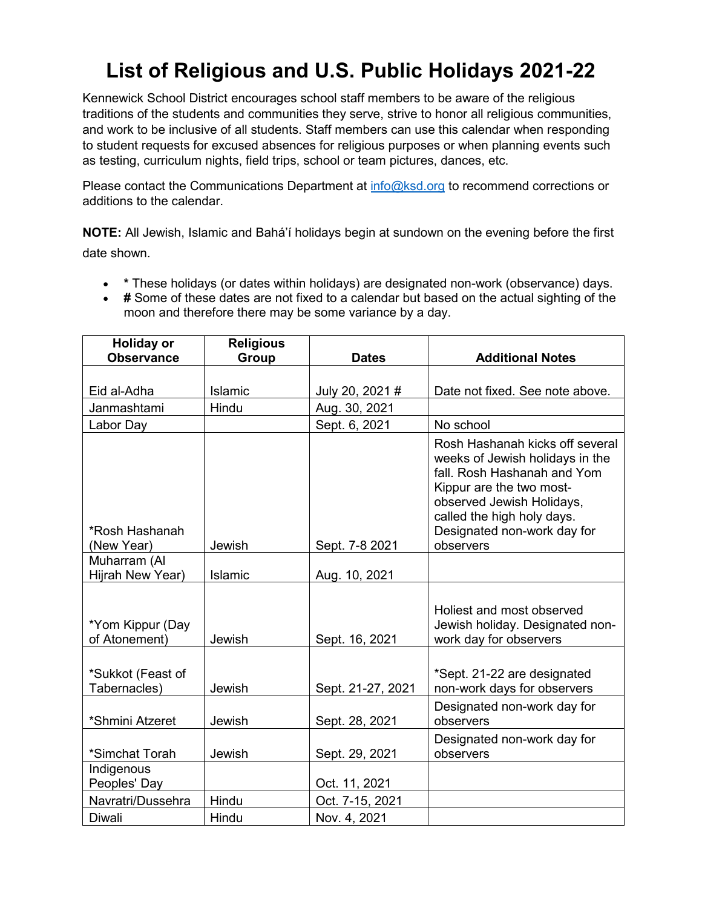## **List of Religious and U.S. Public Holidays 2021-22**

Kennewick School District encourages school staff members to be aware of the religious traditions of the students and communities they serve, strive to honor all religious communities, and work to be inclusive of all students. Staff members can use this calendar when responding to student requests for excused absences for religious purposes or when planning events such as testing, curriculum nights, field trips, school or team pictures, dances, etc.

Please contact the Communications Department at [info@ksd.org](mailto:info@ksd.org) to recommend corrections or additions to the calendar.

**NOTE:** All Jewish, Islamic and Bahá'í holidays begin at sundown on the evening before the first date shown.

- **\*** These holidays (or dates within holidays) are designated non-work (observance) days.
- **#** Some of these dates are not fixed to a calendar but based on the actual sighting of the moon and therefore there may be some variance by a day.

| <b>Holiday or</b>                 | <b>Religious</b> |                   |                                                                                                                                                                                                                                      |
|-----------------------------------|------------------|-------------------|--------------------------------------------------------------------------------------------------------------------------------------------------------------------------------------------------------------------------------------|
| <b>Observance</b>                 | <b>Group</b>     | <b>Dates</b>      | <b>Additional Notes</b>                                                                                                                                                                                                              |
|                                   |                  |                   |                                                                                                                                                                                                                                      |
| Eid al-Adha                       | Islamic          | July 20, 2021 #   | Date not fixed. See note above.                                                                                                                                                                                                      |
| Janmashtami                       | Hindu            | Aug. 30, 2021     |                                                                                                                                                                                                                                      |
| Labor Day                         |                  | Sept. 6, 2021     | No school                                                                                                                                                                                                                            |
| *Rosh Hashanah<br>(New Year)      | Jewish           | Sept. 7-8 2021    | Rosh Hashanah kicks off several<br>weeks of Jewish holidays in the<br>fall. Rosh Hashanah and Yom<br>Kippur are the two most-<br>observed Jewish Holidays,<br>called the high holy days.<br>Designated non-work day for<br>observers |
| Muharram (Al                      |                  |                   |                                                                                                                                                                                                                                      |
| Hijrah New Year)                  | Islamic          | Aug. 10, 2021     |                                                                                                                                                                                                                                      |
| *Yom Kippur (Day<br>of Atonement) | Jewish           | Sept. 16, 2021    | Holiest and most observed<br>Jewish holiday. Designated non-<br>work day for observers                                                                                                                                               |
| *Sukkot (Feast of<br>Tabernacles) | Jewish           | Sept. 21-27, 2021 | *Sept. 21-22 are designated<br>non-work days for observers                                                                                                                                                                           |
| *Shmini Atzeret                   | Jewish           | Sept. 28, 2021    | Designated non-work day for<br>observers                                                                                                                                                                                             |
| *Simchat Torah                    | Jewish           | Sept. 29, 2021    | Designated non-work day for<br>observers                                                                                                                                                                                             |
| Indigenous<br>Peoples' Day        |                  | Oct. 11, 2021     |                                                                                                                                                                                                                                      |
| Navratri/Dussehra                 | Hindu            | Oct. 7-15, 2021   |                                                                                                                                                                                                                                      |
| Diwali                            | Hindu            | Nov. 4, 2021      |                                                                                                                                                                                                                                      |